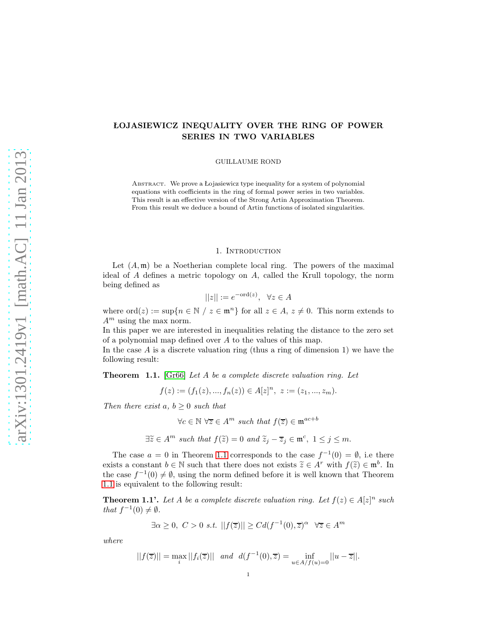# ŁOJASIEWICZ INEQUALITY OVER THE RING OF POWER SERIES IN TWO VARIABLES

GUILLAUME ROND

ABSTRACT. We prove a Łojasiewicz type inequality for a system of polynomial equations with coefficients in the ring of formal power series in two variables. This result is an effective version of the Strong Artin Approximation Theorem. From this result we deduce a bound of Artin functions of isolated singularities.

# 1. INTRODUCTION

Let  $(A, \mathfrak{m})$  be a Noetherian complete local ring. The powers of the maximal ideal of  $A$  defines a metric topology on  $A$ , called the Krull topology, the norm being defined as

$$
||z|| := e^{-\text{ord}(z)}, \ \ \forall z \in A
$$

where  $\text{ord}(z) := \sup\{n \in \mathbb{N} \mid z \in \mathfrak{m}^n\}$  for all  $z \in A, z \neq 0$ . This norm extends to  $A<sup>m</sup>$  using the max norm.

In this paper we are interested in inequalities relating the distance to the zero set of a polynomial map defined over A to the values of this map.

In the case  $A$  is a discrete valuation ring (thus a ring of dimension 1) we have the following result:

<span id="page-0-0"></span>Theorem 1.1. [\[Gr66\]](#page-11-0) Let A be a complete discrete valuation ring. Let

$$
f(z) := (f_1(z), ..., f_n(z)) \in A[z]^n, \ z := (z_1, ..., z_m).
$$

Then there exist a,  $b \geq 0$  such that

 $\forall c \in \mathbb{N} \ \forall \overline{z} \in A^m \ such \ that \ f(\overline{z}) \in \mathfrak{m}^{ac+b}$ 

$$
\exists \widetilde{z} \in A^m \text{ such that } f(\widetilde{z}) = 0 \text{ and } \widetilde{z}_j - \overline{z}_j \in \mathfrak{m}^c, \ 1 \le j \le m.
$$

The case  $a = 0$  in Theorem [1.1](#page-0-0) corresponds to the case  $f^{-1}(0) = \emptyset$ , i.e there exists a constant  $b \in \mathbb{N}$  such that there does not exists  $\widetilde{z} \in A^r$  with  $f(\widetilde{z}) \in \mathfrak{m}^b$ . In the case  $f^{-1}(0) \neq \emptyset$ , using the norm defined before it is well known that Theorem [1.1](#page-0-0) is equivalent to the following result:

**Theorem 1.1'.** Let A be a complete discrete valuation ring. Let  $f(z) \in A[z]^n$  such that  $f^{-1}(0) \neq \emptyset$ .

$$
\exists \alpha \ge 0, \ C > 0 \ s.t. \ ||f(\overline{z})|| \ge C d(f^{-1}(0), \overline{z})^{\alpha} \ \forall \overline{z} \in A^m
$$

where

$$
||f(\overline{z})|| = \max_{i} ||f_i(\overline{z})|| \quad and \quad d(f^{-1}(0), \overline{z}) = \inf_{u \in A/f(u) = 0} ||u - \overline{z}||.
$$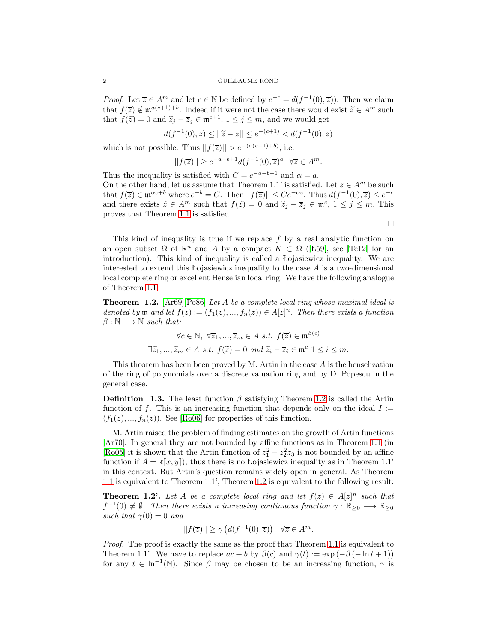*Proof.* Let  $\overline{z} \in A^m$  and let  $c \in \mathbb{N}$  be defined by  $e^{-c} = d(f^{-1}(0), \overline{z})$ . Then we claim that  $f(\overline{z}) \notin \mathfrak{m}^{a(c+1)+b}$ . Indeed if it were not the case there would exist  $\widetilde{z} \in A^m$  such that  $f(\tilde{z}) = 0$  and  $\tilde{z}_j - \overline{z}_j \in \mathfrak{m}^{c+1}$ ,  $1 \le j \le m$ , and we would get

$$
d(f^{-1}(0),\overline{z}) \le ||\widetilde{z} - \overline{z}|| \le e^{-(c+1)} < d(f^{-1}(0),\overline{z})
$$

which is not possible. Thus  $||f(\overline{z})|| > e^{-(a(c+1)+b)}$ , i.e.

$$
||f(\overline{z})|| \ge e^{-a-b+1} d(f^{-1}(0), \overline{z})^a \quad \forall \overline{z} \in A^m.
$$

Thus the inequality is satisfied with  $C = e^{-a-b+1}$  and  $\alpha = a$ . On the other hand, let us assume that Theorem 1.1' is satisfied. Let  $\overline{z} \in A^m$  be such that  $f(\overline{z}) \in \mathfrak{m}^{\alpha c+b}$  where  $e^{-b} = C$ . Then  $||f(\overline{z})|| \leq Ce^{-\alpha c}$ . Thus  $d(f^{-1}(0), \overline{z}) \leq e^{-c}$ and there exists  $\widetilde{z} \in A^m$  such that  $f(\widetilde{z}) = 0$  and  $\widetilde{z}_j - \overline{z}_j \in \mathfrak{m}^c, 1 \le j \le m$ . This proves that Theorem [1.1](#page-0-0) is satisfied.

 $\Box$ 

This kind of inequality is true if we replace  $f$  by a real analytic function on an open subset  $\Omega$  of  $\mathbb{R}^n$  and A by a compact  $K \subset \Omega$  ([\[Ł59\]](#page-11-1), see [\[Te12\]](#page-12-0) for an introduction). This kind of inequality is called a Łojasiewicz inequality. We are interested to extend this Lojasiewicz inequality to the case  $A$  is a two-dimensional local complete ring or excellent Henselian local ring. We have the following analogue of Theorem [1.1:](#page-0-0)

<span id="page-1-0"></span>Theorem 1.2. [\[Ar69\]](#page-11-2)[\[Po86\]](#page-11-3) Let A be a complete local ring whose maximal ideal is denoted by  $\mathfrak{m}$  and let  $f(z) := (f_1(z), ..., f_n(z)) \in A[z]^n$ . Then there exists a function  $\beta : \mathbb{N} \longrightarrow \mathbb{N}$  such that:

$$
\forall c \in \mathbb{N}, \ \forall \overline{z}_1, ..., \overline{z}_m \in A \ s.t. \ f(\overline{z}) \in \mathfrak{m}^{\beta(c)}
$$

$$
\exists \widetilde{z}_1, ..., \widetilde{z}_m \in A \ s.t. \ f(\widetilde{z}) = 0 \ and \ \widetilde{z}_i - \overline{z}_i \in \mathfrak{m}^c \ 1 \le i \le m.
$$

This theorem has been been proved by M. Artin in the case  $A$  is the henselization of the ring of polynomials over a discrete valuation ring and by D. Popescu in the general case.

**Definition 1.3.** The least function  $\beta$  satisfying Theorem [1.2](#page-1-0) is called the Artin function of f. This is an increasing function that depends only on the ideal  $I :=$  $(f_1(z),..., f_n(z))$ . See [\[Ro06\]](#page-12-1) for properties of this function.

M. Artin raised the problem of finding estimates on the growth of Artin functions [\[Ar70\]](#page-11-4). In general they are not bounded by affine functions as in Theorem [1.1](#page-0-0) (in [\[Ro05\]](#page-11-5) it is shown that the Artin function of  $z_1^2 - z_2^2 z_3$  is not bounded by an affine function if  $A = \kappa ||x, y||$ , thus there is no Łojasiewicz inequality as in Theorem 1.1' in this context. But Artin's question remains widely open in general. As Theorem [1.1](#page-0-0) is equivalent to Theorem 1.1', Theorem [1.2](#page-1-0) is equivalent to the following result:

**Theorem 1.2'.** Let A be a complete local ring and let  $f(z) \in A[z]^n$  such that  $f^{-1}(0) \neq \emptyset$ . Then there exists a increasing continuous function  $\gamma : \mathbb{R}_{\geq 0} \longrightarrow \mathbb{R}_{\geq 0}$ such that  $\gamma(0) = 0$  and

$$
||f(\overline{z})|| \ge \gamma \left(d(f^{-1}(0), \overline{z})\right) \quad \forall \overline{z} \in A^m.
$$

Proof. The proof is exactly the same as the proof that Theorem [1.1](#page-0-0) is equivalent to Theorem 1.1'. We have to replace  $ac + b$  by  $\beta(c)$  and  $\gamma(t) := \exp(-\beta(-\ln t + 1))$ for any  $t \in \ln^{-1}(\mathbb{N})$ . Since  $\beta$  may be chosen to be an increasing function,  $\gamma$  is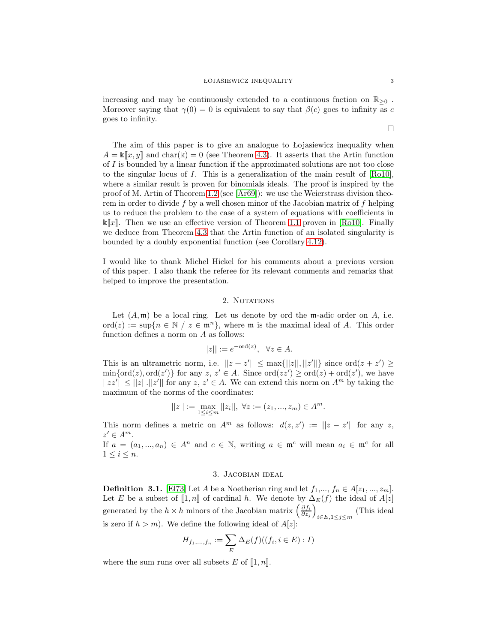increasing and may be continuously extended to a continuous fnction on  $\mathbb{R}_{\geq 0}$ . Moreover saying that  $\gamma(0) = 0$  is equivalent to say that  $\beta(c)$  goes to infinity as c goes to infinity.

The aim of this paper is to give an analogue to Łojasiewicz inequality when  $A = \kappa ||x, y||$  and char(k) = 0 (see Theorem [4.3\)](#page-6-0). It asserts that the Artin function of  $I$  is bounded by a linear function if the approximated solutions are not too close to the singular locus of  $I$ . This is a generalization of the main result of  $[Ro10]$ , where a similar result is proven for binomials ideals. The proof is inspired by the proof of M. Artin of Theorem [1.2](#page-1-0) (see [\[Ar69\]](#page-11-2)): we use the Weierstrass division theorem in order to divide f by a well chosen minor of the Jacobian matrix of f helping us to reduce the problem to the case of a system of equations with coefficients in  $\mathbb{K}[x]$ . Then we use an effective version of Theorem [1.1](#page-0-0) proven in [\[Ro10\]](#page-12-2). Finally we deduce from Theorem [4.3](#page-6-0) that the Artin function of an isolated singularity is bounded by a doubly exponential function (see Corollary [4.12\)](#page-11-6).

I would like to thank Michel Hickel for his comments about a previous version of this paper. I also thank the referee for its relevant comments and remarks that helped to improve the presentation.

# 2. NOTATIONS

Let  $(A, \mathfrak{m})$  be a local ring. Let us denote by ord the m-adic order on  $A$ , i.e. ord(z) := sup{ $n \in \mathbb{N}$  /  $z \in \mathfrak{m}^n$ }, where  $\mathfrak{m}$  is the maximal ideal of A. This order function defines a norm on A as follows:

$$
||z|| := e^{-\text{ord}(z)}, \ \ \forall z \in A.
$$

This is an ultrametric norm, i.e.  $||z + z'|| \leq \max{||z||, ||z'||}$  since  $\text{ord}(z + z') \geq$  $\min\{\text{ord}(z), \text{ord}(z')\}$  for any  $z, z' \in A$ . Since  $\text{ord}(zz') \geq \text{ord}(z) + \text{ord}(z')$ , we have  $||zz'|| \le ||z||.||z'||$  for any  $z, z' \in A$ . We can extend this norm on  $A<sup>m</sup>$  by taking the maximum of the norms of the coordinates:

$$
||z||:=\max_{1\leq i\leq m}||z_i||, \ \forall z:=(z_1,...,z_m)\in A^m.
$$

This norm defines a metric on  $A^m$  as follows:  $d(z, z') := ||z - z'||$  for any z,  $z' \in A^m$ .

If  $a = (a_1, ..., a_n) \in A^n$  and  $c \in \mathbb{N}$ , writing  $a \in \mathfrak{m}^c$  will mean  $a_i \in \mathfrak{m}^c$  for all  $1 \leq i \leq n$ .

# 3. Jacobian ideal

**Definition 3.1.** [\[El73\]](#page-11-7) Let A be a Noetherian ring and let  $f_1, ..., f_n \in A[z_1, ..., z_m]$ . Let E be a subset of  $\llbracket 1,n \rrbracket$  of cardinal h. We denote by  $\Delta_E(f)$  the ideal of  $A[z]$ generated by the  $h \times h$  minors of the Jacobian matrix  $\left(\frac{\partial f_i}{\partial z_j}\right)$  $\overline{ }$  $_{i∈E, 1≤j≤m}$  (This ideal is zero if  $h > m$ ). We define the following ideal of  $A[z]$ :

$$
H_{f_1,...,f_n} := \sum_{E} \Delta_E(f)((f_i, i \in E) : I)
$$

where the sum runs over all subsets E of  $\llbracket 1, n \rrbracket$ .

 $\Box$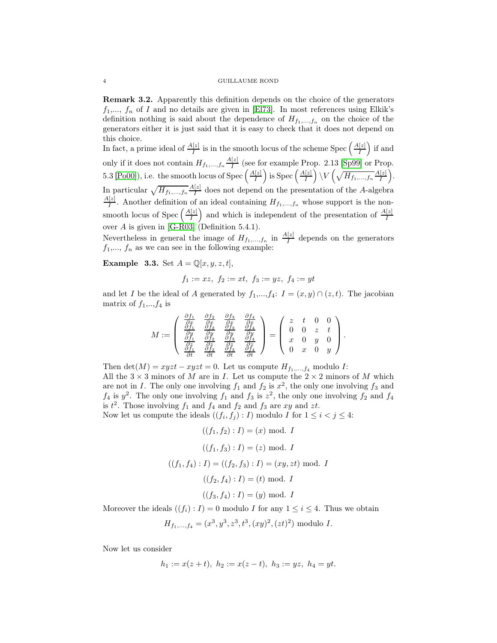Remark 3.2. Apparently this definition depends on the choice of the generators  $f_1, \ldots, f_n$  of I and no details are given in [\[El73\]](#page-11-7). In most references using Elkik's definition nothing is said about the dependence of  $H_{f_1,...,f_n}$  on the choice of the generators either it is just said that it is easy to check that it does not depend on this choice.

In fact, a prime ideal of  $\frac{A[z]}{I}$  is in the smooth locus of the scheme Spec  $\left(\frac{A[z]}{I}\right)$ I ) if and only if it does not contain  $H_{f_1,...,f_n}\frac{A[z]}{I}$  $\frac{1}{I}$  (see for example Prop. 2.13 [\[Sp99\]](#page-12-3) or Prop. 5.3 [\[Po00\]](#page-11-8)), i.e. the smooth locus of Spec  $\left(\frac{A[z]}{I}\right)$ I ) is Spec  $\left(\frac{A[z]}{I}\right)$ I  $\Big)\setminus V\left(\sqrt{H_{f_1,...,f_n}}\frac{A[z]}{I}\right)$ I . In particular  $\sqrt{H_{f_1,...,f_n}} \frac{A[z]}{I}$  $\frac{1}{I}$  does not depend on the presentation of the A-algebra  $A[z]$  $\frac{1}{I}$ . Another definition of an ideal containing  $H_{f_1,...,f_n}$  whose support is the nonsmooth locus of Spec  $\left(\frac{A[z]}{I}\right)$ I ) and which is independent of the presentation of  $\frac{A[z]}{I}$ over A is given in [\[G-R03\]](#page-11-9) (Definition 5.4.1).

Nevertheless in general the image of  $H_{f_1,...,f_n}$  in  $\frac{A[z]}{I}$  depends on the generators  $f_1, ..., f_n$  as we can see in the following example:

**Example 3.3.** Set  $A = \mathbb{Q}[x, y, z, t]$ ,

$$
f_1 := xz, \ f_2 := xt, \ f_3 := yz, \ f_4 := yt
$$

and let I be the ideal of A generated by  $f_1, ..., f_4$ :  $I = (x, y) \cap (z, t)$ . The jacobian matrix of  $f_1, \ldots, f_4$  is

$$
M := \begin{pmatrix} \frac{\partial f_1}{\partial x} & \frac{\partial f_2}{\partial x} & \frac{\partial f_3}{\partial x} & \frac{\partial f_4}{\partial x} \\ \frac{\partial f_1}{\partial y} & \frac{\partial f_2}{\partial y} & \frac{\partial f_3}{\partial y} & \frac{\partial f_4}{\partial y} \\ \frac{\partial f_1}{\partial t} & \frac{\partial f_2}{\partial t} & \frac{\partial f_3}{\partial t} & \frac{\partial f_4}{\partial t} \\ \frac{\partial f_1}{\partial t} & \frac{\partial f_2}{\partial t} & \frac{\partial f_3}{\partial t} & \frac{\partial f_4}{\partial t} \end{pmatrix} = \begin{pmatrix} z & t & 0 & 0 \\ 0 & 0 & z & t \\ x & 0 & y & 0 \\ 0 & x & 0 & y \end{pmatrix}.
$$

Then det(M) =  $xyzt - xyzt = 0$ . Let us compute  $H_{f_1,...,f_4}$  modulo I: All the  $3 \times 3$  minors of M are in I. Let us compute the  $2 \times 2$  minors of M which are not in I. The only one involving  $f_1$  and  $f_2$  is  $x^2$ , the only one involving  $f_3$  and  $f_4$  is  $y^2$ . The only one involving  $f_1$  and  $f_3$  is  $z^2$ , the only one involving  $f_2$  and  $f_4$ is  $t^2$ . Those involving  $f_1$  and  $f_4$  and  $f_2$  and  $f_3$  are  $xy$  and  $zt$ . Now let us compute the ideals  $((f_i, f_j) : I)$  modulo I for  $1 \le i < j \le 4$ :

$$
((f_1, f_2) : I) = (x) \mod I
$$
  
\n $((f_1, f_3) : I) = (z) \mod I$   
\n $((f_1, f_4) : I) = ((f_2, f_3) : I) = (xy, zt) \mod I$   
\n $((f_2, f_4) : I) = (t) \mod I$   
\n $((f_3, f_4) : I) = (y) \mod I$ 

Moreover the ideals  $((f_i): I) = 0$  modulo I for any  $1 \leq i \leq 4$ . Thus we obtain

$$
H_{f_1,...,f_4} = (x^3, y^3, z^3, t^3, (xy)^2, (zt)^2)
$$
 modulo I.

Now let us consider

$$
h_1 := x(z+t), h_2 := x(z-t), h_3 := yz, h_4 = yt.
$$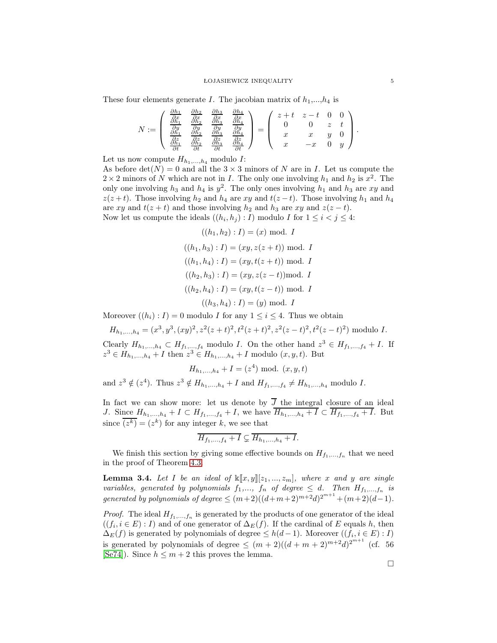#### ŁOJASIEWICZ INEQUALITY 5

These four elements generate I. The jacobian matrix of  $h_1,...,h_4$  is

$$
N := \left(\begin{array}{cccc} \frac{\partial h_1}{\partial x} & \frac{\partial h_2}{\partial x} & \frac{\partial h_3}{\partial x} & \frac{\partial h_4}{\partial x} \\ \frac{\partial h_1}{\partial y} & \frac{\partial h_2}{\partial y} & \frac{\partial h_3}{\partial y} & \frac{\partial h_4}{\partial y} \\ \frac{\partial h_1}{\partial t} & \frac{\partial h_2}{\partial t} & \frac{\partial h_3}{\partial t} & \frac{\partial h_4}{\partial t} \\ \frac{\partial h_1}{\partial t} & \frac{\partial h_2}{\partial t} & \frac{\partial h_3}{\partial t} & \frac{\partial h_4}{\partial t} \end{array}\right) = \left(\begin{array}{cccc} z+t & z-t & 0 & 0 \\ 0 & 0 & z & t \\ x & x & y & 0 \\ x & -x & 0 & y \end{array}\right).
$$

Let us now compute  $H_{h_1,...,h_4}$  modulo I:

As before  $\det(N) = 0$  and all the  $3 \times 3$  minors of N are in I. Let us compute the  $2 \times 2$  minors of N which are not in I. The only one involving  $h_1$  and  $h_2$  is  $x^2$ . The only one involving  $h_3$  and  $h_4$  is  $y^2$ . The only ones involving  $h_1$  and  $h_3$  are xy and  $z(z + t)$ . Those involving  $h_2$  and  $h_4$  are xy and  $t(z - t)$ . Those involving  $h_1$  and  $h_4$ are xy and  $t(z + t)$  and those involving  $h_2$  and  $h_3$  are xy and  $z(z - t)$ . Now let us compute the ideals  $((h_i, h_j) : I)$  modulo I for  $1 \le i < j \le 4$ :

$$
((h_1, h_2) : I) = (x) \text{ mod. } I
$$

$$
((h_1, h_3) : I) = (xy, z(z + t)) \text{ mod. } I
$$

$$
((h_1, h_4) : I) = (xy, t(z + t)) \text{ mod. } I
$$

$$
((h_2, h_3) : I) = (xy, z(z - t)) \text{ mod. } I
$$

$$
((h_2, h_4) : I) = (xy, t(z - t)) \text{ mod. } I
$$

$$
((h_3, h_4) : I) = (y) \text{ mod. } I
$$

Moreover  $((h_i): I) = 0$  modulo I for any  $1 \leq i \leq 4$ . Thus we obtain

$$
H_{h_1,\ldots,h_4} = (x^3, y^3, (xy)^2, z^2(z+t)^2, t^2(z+t)^2, z^2(z-t)^2, t^2(z-t)^2)
$$
 modulo I.

Clearly  $H_{h_1,...,h_4} \subset H_{f_1,...,f_4}$  modulo I. On the other hand  $z^3 \in H_{f_1,...,f_4} + I$ . If  $z^3 \in H_{h_1,...,h_4} + I$  then  $z^3 \in H_{h_1,...,h_4} + I$  modulo  $(x, y, t)$ . But

 $H_{h_1,...,h_4} + I = (z^4) \text{ mod. } (x, y, t)$ 

and  $z^3 \notin (z^4)$ . Thus  $z^3 \notin H_{h_1,...,h_4} + I$  and  $H_{f_1,...,f_4} \neq H_{h_1,...,h_4}$  modulo I.

In fact we can show more: let us denote by  $J$  the integral closure of an ideal J. Since  $H_{h_1,...,h_4} + I \subset H_{f_1,...,f_4} + I$ , we have  $H_{h_1,...,h_4} + I \subset H_{f_1,...,f_4} + I$ . But since  $\overline{(z^k)} = (z^k)$  for any integer k, we see that

$$
\overline{H_{f_1,\ldots,f_4}+I}\subsetneq \overline{H_{h_1,\ldots,h_4}+I}.
$$

We finish this section by giving some effective bounds on  $H_{f_1,\,\ldots,f_n}$  that we need in the proof of Theorem [4.3.](#page-6-0)

**Lemma 3.4.** Let I be an ideal of  $\mathbb{K}[x, y][z_1, ..., z_m]$ , where x and y are single variables, generated by polynomials  $f_1,..., f_n$  of degree  $\leq d$ . Then  $H_{f_1,...,f_n}$  is generated by polynomials of degree  $\leq (m+2)((d+m+2)^{m+2}d)^{2^{m+1}} + (m+2)(d-1)$ .

*Proof.* The ideal  $H_{f_1,...,f_n}$  is generated by the products of one generator of the ideal  $((f_i, i \in E): I)$  and of one generator of  $\Delta_E(f)$ . If the cardinal of E equals h, then  $\Delta_E(f)$  is generated by polynomials of degree  $\leq h(d-1)$ . Moreover  $((f_i, i \in E) : I)$ is generated by polynomials of degree  $\leq (m+2)((d+m+2)^{m+2}d)^{2^{m+1}}$  (cf. 56 [\[Se74\]](#page-12-4)). Since  $h \leq m+2$  this proves the lemma.

 $\Box$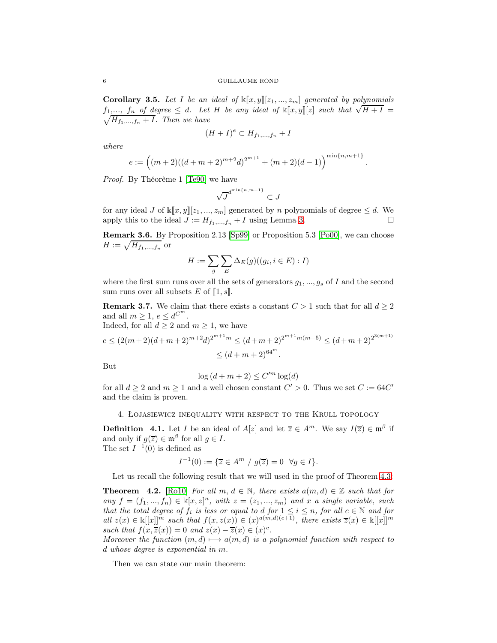<span id="page-5-2"></span>**Corollary 3.5.** Let I be an ideal of  $\mathbb{K}[x, y][z_1, ..., z_m]$  generated by polynomials f<sub>1</sub>,..., f<sub>n</sub> of degree  $\leq d$ . Let H be any ideal of  $\mathbb{K}[x, y][z]$  such that  $\sqrt{H+I}$  =  $\sqrt{H_{f_1,...,f_n} + I}$ . Then we have

$$
(H+I)^e \subset H_{f_1,\ldots,f_n} + I
$$

where

$$
e := ((m+2)((d+m+2)^{m+2}d)^{2^{m+1}} + (m+2)(d-1))^{m \text{min}\{n,m+1\}}
$$

.

Proof. By Théorème 1 [\[Te90\]](#page-12-5) we have

$$
\sqrt{J}^{d^{\min\{n,m+1\}}}\subset J
$$

for any ideal J of  $\mathbb{K}[x, y][z_1, ..., z_m]$  generated by n polynomials of degree  $\leq d$ . We apply this to the ideal  $J := H_t$ ,  $t + I$  using Lemma 3. apply this to the ideal  $J := H_{f_1,...,f_n} + I$  using Lemma [3.](#page-9-0)

Remark 3.6. By Proposition 2.13 [\[Sp99\]](#page-12-3) or Proposition 5.3 [\[Po00\]](#page-11-8), we can choose  $H := \sqrt{H_{f_1,...,f_n}}$  or

$$
H := \sum_{g} \sum_{E} \Delta_E(g)((g_i, i \in E) : I)
$$

where the first sum runs over all the sets of generators  $g_1, ..., g_s$  of I and the second sum runs over all subsets E of  $[1, s]$ .

<span id="page-5-1"></span>**Remark 3.7.** We claim that there exists a constant  $C > 1$  such that for all  $d \geq 2$ and all  $m \geq 1, e \leq d^{C^m}$ .

Indeed, for all  $d \geq 2$  and  $m \geq 1$ , we have

$$
e \le (2(m+2)(d+m+2)^{m+2}d)^{2^{m+1}m} \le (d+m+2)^{2^{m+1}m(m+5)} \le (d+m+2)^{2^{3(m+1)}} \le (d+m+2)^{64^m}.
$$

But

$$
\log{(d+m+2)} \leq C'^{m}\log(d)
$$

for all  $d \ge 2$  and  $m \ge 1$  and a well chosen constant  $C' > 0$ . Thus we set  $C := 64C'$ and the claim is proven.

4. Łojasiewicz inequality with respect to the Krull topology

**Definition** 4.1. Let I be an ideal of  $A[z]$  and let  $\overline{z} \in A^m$ . We say  $I(\overline{z}) \in \mathfrak{m}^{\beta}$  if and only if  $g(\overline{z}) \in \mathfrak{m}^{\beta}$  for all  $g \in I$ . The set  $I^{-1}(0)$  is defined as

$$
I^{-1}(0) := \{ \overline{z} \in A^m \ / \ g(\overline{z}) = 0 \ \forall g \in I \}.
$$

Let us recall the following result that we will used in the proof of Theorem  $4.3$ :

<span id="page-5-0"></span>**Theorem 4.2.** [\[Ro10\]](#page-12-2) For all m,  $d \in \mathbb{N}$ , there exists  $a(m, d) \in \mathbb{Z}$  such that for any  $f = (f_1, ..., f_n) \in \mathbb{k}[x, z]^n$ , with  $z = (z_1, ..., z_m)$  and x a single variable, such that the total degree of  $f_i$  is less or equal to d for  $1 \leq i \leq n$ , for all  $c \in \mathbb{N}$  and for all  $z(x) \in \mathbb{k}[[x]]^m$  such that  $f(x, z(x)) \in (x)^{a(m,d)(c+1)}$ , there exists  $\overline{z}(x) \in \mathbb{k}[[x]]^m$ such that  $f(x,\overline{z}(x)) = 0$  and  $z(x) - \overline{z}(x) \in (x)^c$ .

Moreover the function  $(m, d) \rightarrow a(m, d)$  is a polynomial function with respect to d whose degree is exponential in m.

Then we can state our main theorem: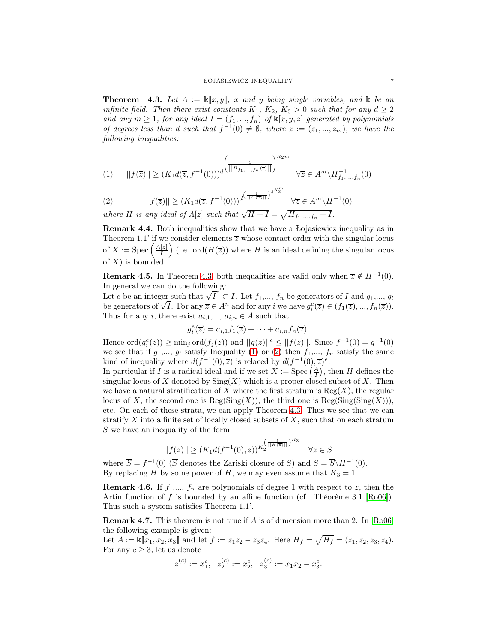<span id="page-6-0"></span>**Theorem 4.3.** Let  $A := \mathbb{K}[x, y], x$  and y being single variables, and  $\mathbb{K}$  be an infinite field. Then there exist constants  $K_1$ ,  $K_2$ ,  $K_3 > 0$  such that for any  $d \geq 2$ and any  $m \geq 1$ , for any ideal  $I = (f_1, ..., f_n)$  of  $\mathbb{K}[x, y, z]$  generated by polynomials of degrees less than d such that  $f^{-1}(0) \neq \emptyset$ , where  $z := (z_1, ..., z_m)$ , we have the following inequalities:

<span id="page-6-1"></span>
$$
(1) \qquad ||f(\overline{z})|| \ge (K_1 d(\overline{z}, f^{-1}(0)))^d \left(\frac{1}{||H_{f_1, ..., f_n}(\overline{z})||}\right)^{K_2 m} \quad \forall \overline{z} \in A^m \backslash H_{f_1, ..., f_n}^{-1}(0)
$$

<span id="page-6-2"></span>(2) 
$$
||f(\overline{z})|| \ge (K_1 d(\overline{z}, f^{-1}(0)))^{d\left(\frac{1}{||H(\overline{z})||}\right)^{d^{K_3^m}}} \forall \overline{z} \in A^m \setminus H^{-1}(0)
$$

where H is any ideal of  $A[z]$  such that  $\sqrt{H+I} = \sqrt{H_{f_1,...,f_n} + I}$ .

Remark 4.4. Both inequalities show that we have a Łojasiewicz inequality as in Theorem 1.1' if we consider elements  $\overline{z}$  whose contact order with the singular locus of  $X := \mathrm{Spec} \left( \frac{A[z]}{I} \right)$ I (i.e. ord $(H(\overline{z}))$  where H is an ideal defining the singular locus of  $X$ ) is bounded.

**Remark 4.5.** In Theorem [4.3,](#page-6-0) both inequalities are valid only when  $\overline{z} \notin H^{-1}(0)$ . In general we can do the following:

Let e be an integer such that  $\sqrt{T}^e \subset I$ . Let  $f_1, ..., f_n$  be generators of I and  $g_1, ..., g_l$ be generators of  $\sqrt{I}$ . For any  $\overline{z} \in A^n$  and for any i we have  $g_i^e(\overline{z}) \in (f_1(\overline{z}), ..., f_n(\overline{z}))$ . Thus for any i, there exist  $a_{i,1},..., a_{i,n} \in A$  such that

$$
g_i^e(\overline{z}) = a_{i,1}f_1(\overline{z}) + \cdots + a_{i,n}f_n(\overline{z}).
$$

Hence  $\operatorname{ord}(g_i^e(\overline{z})) \ge \min_j \operatorname{ord}(f_j(\overline{z}))$  and  $||g(\overline{z})||^e \le ||f(\overline{z})||$ . Since  $f^{-1}(0) = g^{-1}(0)$ we see that if  $g_1,..., g_l$  satisfy Inequality [\(1\)](#page-6-1) or [\(2\)](#page-6-2) then  $f_1,..., f_n$  satisfy the same kind of inequality where  $d(f^{-1}(0), \overline{z})$  is relaced by  $d(f^{-1}(0), \overline{z})^e$ .

In particular if I is a radical ideal and if we set  $X := \text{Spec}(\frac{A}{I})$ , then H defines the singular locus of X denoted by  $\text{Sing}(X)$  which is a proper closed subset of X. Then we have a natural stratification of X where the first stratum is  $Reg(X)$ , the regular locus of X, the second one is  $\text{Reg}(\text{Sing}(X))$ , the third one is  $\text{Reg}(\text{Sing}(\text{Sing}(X)))$ , etc. On each of these strata, we can apply Theorem [4.3.](#page-6-0) Thus we see that we can stratify  $X$  into a finite set of locally closed subsets of  $X$ , such that on each stratum S we have an inequality of the form

$$
||f(\overline{z})|| \ge (K_1 d(f^{-1}(0), \overline{z}))^{K_2^{\left(\frac{1}{||H(\overline{z})||}\right)^{K_3}} \quad \forall \overline{z} \in S
$$

where  $\overline{S} = f^{-1}(0)$  ( $\overline{S}$  denotes the Zariski closure of S) and  $S = \overline{S} \backslash H^{-1}(0)$ . By replacing H by some power of H, we may even assume that  $K_3 = 1$ .

**Remark 4.6.** If  $f_1, ..., f_n$  are polynomials of degree 1 with respect to z, then the Artin function of f is bounded by an affine function (cf. Théorème 3.1 [\[Ro06\]](#page-12-1)). Thus such a system satisfies Theorem 1.1'.

**Remark 4.7.** This theorem is not true if  $A$  is of dimension more than 2. In  $[Ro06]$ the following example is given:

Let  $A := \mathbb{k}[[x_1, x_2, x_3]]$  and let  $f := z_1z_2 - z_3z_4$ . Here  $H_f = \sqrt{H_f} = (z_1, z_2, z_3, z_4)$ . For any  $c \geq 3$ , let us denote

$$
\overline{z}_1^{(c)} := x_1^c, \ \overline{z}_2^{(c)} := x_2^c, \ \overline{z}_3^{(c)} := x_1 x_2 - x_3^c.
$$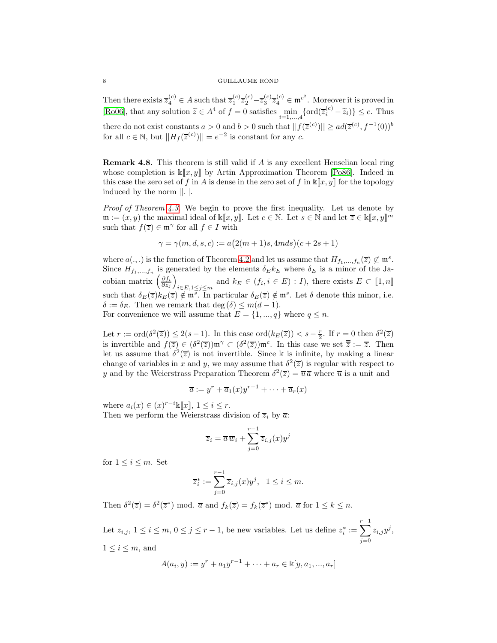Then there exists  $\overline{z}_4^{(c)} \in A$  such that  $\overline{z}_1^{(c)} \overline{z}_2^{(c)} - \overline{z}_3^{(c)} \overline{z}_4^{(c)} \in \mathfrak{m}^{c^2}$ . Moreover it is proved in [\[Ro06\]](#page-12-1), that any solution  $\tilde{z} \in A^4$  of  $f = 0$  satisfies  $\min_{i=1,\dots,4} \{ord(\overline{z}_i^{(c)} - \tilde{z}_i)\} \leq c$ . Thus there do not exist constants  $a > 0$  and  $b > 0$  such that  $||f(\overline{z}^{(c)})|| \geq ad(\overline{z}^{(c)}, f^{-1}(0))^b$ for all  $c \in \mathbb{N}$ , but  $||H_f(\overline{z}^{(c)})|| = e^{-2}$  is constant for any  $c$ .

Remark 4.8. This theorem is still valid if A is any excellent Henselian local ring whose completion is  $\mathbb{K}[x, y]$  by Artin Approximation Theorem [\[Po86\]](#page-11-3). Indeed in this case the zero set of f in A is dense in the zero set of f in  $\mathbb{K}[x, y]$  for the topology induced by the norm ||.||.

Proof of Theorem [4.3.](#page-6-0) We begin to prove the first inequality. Let us denote by  $\mathfrak{m} := (x, y)$  the maximal ideal of  $\mathbb{k}[\![x, y]\!]$ . Let  $c \in \mathbb{N}$ . Let  $s \in \mathbb{N}$  and let  $\overline{z} \in \mathbb{k}[\![x, y]\!]^m$ such that  $f(\overline{z}) \in \mathfrak{m}^{\gamma}$  for all  $f \in I$  with

$$
\gamma = \gamma(m, d, s, c) := a(2(m + 1)s, 4m ds)(c + 2s + 1)
$$

where  $a(.,.)$  is the function of Theorem [4.2](#page-5-0) and let us assume that  $H_{f_1,...,f_n}(\overline{z}) \not\subset \mathfrak{m}^s$ . Since  $H_{f_1,...,f_n}$  is generated by the elements  $\delta_E k_E$  where  $\delta_E$  is a minor of the Jacobian matrix  $\left(\frac{\partial f_i}{\partial z_j}\right)$  $\overline{ }$  $i\in E, 1\leq j\leq m$  and  $k_E \in (f_i, i \in E) : I$ , there exists  $E \subset [1, n]$ such that  $\delta_E(\overline{z})k_E(\overline{z}) \notin \mathfrak{m}^s$ . In particular  $\delta_E(\overline{z}) \notin \mathfrak{m}^s$ . Let  $\delta$  denote this minor, i.e.  $\delta := \delta_E$ . Then we remark that deg  $(\delta) \leq m(d-1)$ . For convenience we will assume that  $E = \{1, ..., q\}$  where  $q \leq n$ .

Let  $r := \text{ord}(\delta^2(\overline{z})) \leq 2(s-1)$ . In this case  $\text{ord}(k_E(\overline{z})) < s - \frac{r}{2}$ . If  $r = 0$  then  $\delta^2(\overline{z})$ is invertible and  $f(\overline{z}) \in (\delta^2(\overline{z})) \mathfrak{m}^\gamma \subset (\delta^2(\overline{z})) \mathfrak{m}^c$ . In this case we set  $\overline{\overline{z}} := \overline{z}$ . Then let us assume that  $\delta^2(\overline{z})$  is not invertible. Since k is infinite, by making a linear change of variables in x and y, we may assume that  $\delta^2(\overline{z})$  is regular with respect to y and by the Weierstrass Preparation Theorem  $\delta^2(\overline{z}) = \overline{u} \overline{a}$  where  $\overline{u}$  is a unit and

$$
\overline{a} := y^r + \overline{a}_1(x)y^{r-1} + \dots + \overline{a}_r(x)
$$

where  $a_i(x) \in (x)^{r-i} \mathbb{k}[\![x]\!], 1 \leq i \leq r.$ 

Then we perform the Weierstrass division of  $\overline{z}_i$  by  $\overline{a}$ :

$$
\overline{z}_i = \overline{a}\,\overline{w}_i + \sum_{j=0}^{r-1} \overline{z}_{i,j}(x) y^j
$$

for  $1 \leq i \leq m$ . Set

$$
\overline{z}_i^* := \sum_{j=0}^{r-1} \overline{z}_{i,j}(x) y^j, \quad 1 \le i \le m.
$$

Then  $\delta^2(\overline{z}) = \delta^2(\overline{z}^*) \mod \overline{a}$  and  $f_k(\overline{z}) = f_k(\overline{z}^*) \mod \overline{a}$  for  $1 \leq k \leq n$ .

Let  $z_{i,j}, 1 \leq i \leq m, 0 \leq j \leq r-1$ , be new variables. Let us define  $z_i^* := \sum^{r-1}$  $j=0$  $z_{i,j}y^j,$  $1 \leq i \leq m$ , and

$$
A(a_i, y) := y^r + a_1 y^{r-1} + \dots + a_r \in \mathbb{k}[y, a_1, ..., a_r]
$$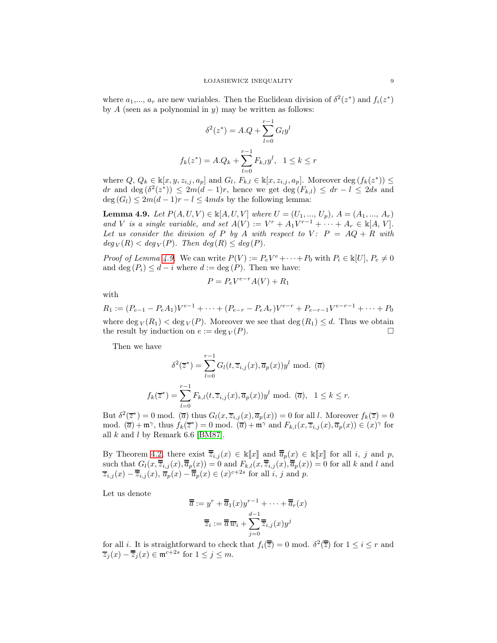where  $a_1, ..., a_r$  are new variables. Then the Euclidean division of  $\delta^2(z^*)$  and  $f_i(z^*)$ by  $A$  (seen as a polynomial in  $y$ ) may be written as follows:

$$
\delta^{2}(z^{*}) = A.Q + \sum_{l=0}^{r-1} G_{l}y^{l}
$$

$$
f_{k}(z^{*}) = A.Q_{k} + \sum_{l=0}^{r-1} F_{k,l}y^{l}, \quad 1 \leq k \leq r
$$

where  $Q, Q_k \in \mathbb{k}[x, y, z_{i,j}, a_p]$  and  $G_l, F_{k,l} \in \mathbb{k}[x, z_{i,j}, a_p]$ . Moreover deg  $(f_k(z^*)) \leq$ dr and deg  $(\delta^2(z^*)) \leq 2m(d-1)r$ , hence we get deg  $(F_{k,l}) \leq dr - l \leq 2ds$  and  $deg(G_l) \leq 2m(d-1)r - l \leq 4mds$  by the following lemma:

<span id="page-8-0"></span>**Lemma 4.9.** Let  $P(A, U, V) \in \mathbb{k}[A, U, V]$  where  $U = (U_1, ..., U_p), A = (A_1, ..., A_r)$ and V is a single variable, and set  $A(V) := V^r + A_1 V^{r-1} + \cdots + A_r \in \mathbb{R}[A, V].$ Let us consider the division of P by A with respect to V:  $P = AQ + R$  with  $deg_V(R) < deg_V(P)$ . Then  $deg(R) \leq deg(P)$ .

*Proof of Lemma [4.9.](#page-8-0)* We can write  $P(V) := P_e V^e + \cdots + P_0$  with  $P_i \in \mathbb{K}[U], P_e \neq 0$ and deg  $(P_i) \leq d - i$  where  $d := \deg(P)$ . Then we have:

$$
P = P_e V^{e-r} A(V) + R_1
$$

with

$$
R_1 := (P_{e-1} - P_e A_1)V^{e-1} + \dots + (P_{e-r} - P_e A_r)V^{e-r} + P_{e-r-1}V^{e-r-1} + \dots + P_0
$$
  
where deg $\nu(R_1) < \deg \nu(P)$ . Moreover we see that deg $(R_1) \le d$ . Thus we obtain  
the result by induction on  $e := \deg \nu(P)$ .

Then we have

$$
\delta^2(\overline{z}^*) = \sum_{l=0}^{r-1} G_l(t, \overline{z}_{i,j}(x), \overline{a}_p(x)) y^l \mod (\overline{a})
$$
  

$$
f_k(\overline{z}^*) = \sum_{l=0}^{r-1} F_{k,l}(t, \overline{z}_{i,j}(x), \overline{a}_p(x)) y^l \mod (\overline{a}), \quad 1 \le k \le r.
$$

But  $\delta^2(\overline{z}^*) = 0$  mod.  $(\overline{a})$  thus  $G_l(x, \overline{z}_{i,j}(x), \overline{a}_p(x)) = 0$  for all l. Moreover  $f_k(\overline{z}) = 0$ mod.  $(\overline{a}) + \mathfrak{m}^{\gamma}$ , thus  $f_k(\overline{z}^*) = 0$  mod.  $(\overline{a}) + \mathfrak{m}^{\gamma}$  and  $F_{k,l}(x, \overline{z}_{i,j}(x), \overline{a}_p(x)) \in (x)^{\gamma}$  for all  $k$  and  $l$  by Remark 6.6 [\[BM87\]](#page-11-10).

By Theorem [4.2,](#page-5-0) there exist  $\overline{\overline{z}}_{i,j}(x) \in \mathbb{K}[\![x]\!]$  and  $\overline{\overline{a}}_p(x) \in \mathbb{K}[\![x]\!]$  for all i, j and p, such that  $G_l(x, \overline{\overline{z}}_{i,j}(x), \overline{\overline{a}}_p(x)) = 0$  and  $F_{k,l}(x, \overline{\overline{z}}_{i,j}(x), \overline{\overline{a}}_p(x)) = 0$  for all k and l and  $\overline{z}_{i,j}(x) - \overline{\overline{z}}_{i,j}(x), \overline{a}_p(x) - \overline{\overline{a}}_p(x) \in (x)^{c+2s}$  for all  $i, j$  and  $p$ .

Let us denote

$$
\overline{\overline{a}} := y^r + \overline{\overline{a}}_1(x)y^{r-1} + \dots + \overline{\overline{a}}_r(x)
$$

$$
\overline{\overline{z}}_i := \overline{\overline{a}} \,\overline{w}_i + \sum_{j=0}^{d-1} \overline{\overline{z}}_{i,j}(x)y^j
$$

for all *i*. It is straightforward to check that  $f_i(\overline{z}) = 0$  mod.  $\delta^2(\overline{z})$  for  $1 \le i \le r$  and  $\overline{z}_j(x) - \overline{\overline{z}}_j(x) \in \mathfrak{m}^{c+2s}$  for  $1 \leq j \leq m$ .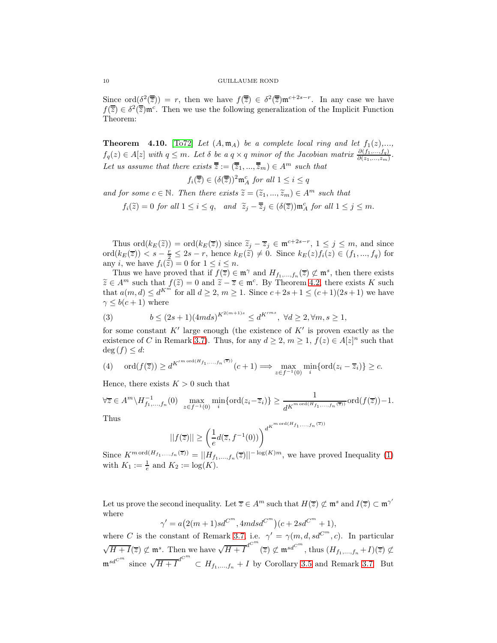Since  $\text{ord}(\underline{\delta}^2(\overline{\overline{z}})) = r$ , then we have  $f(\overline{\overline{z}}) \in \delta^2(\overline{\overline{z}}) \mathfrak{m}^{c+2s-r}$ . In any case we have  $f(\overline{\overline{z}}) \in \delta^2(\overline{\overline{z}}) \mathfrak{m}^c$ . Then we use the following generalization of the Implicit Function Theorem:

<span id="page-9-1"></span>**Theorem** 4.10. [\[To72\]](#page-12-6) Let  $(A, \mathfrak{m}_A)$  be a complete local ring and let  $f_1(z),...$ ,  $f_q(z) \in A[z]$  with  $q \leq m$ . Let  $\delta$  be a  $q \times q$  minor of the Jacobian matrix  $\frac{\partial (f_1,...,f_q)}{\partial (z_1,...,z_m)}$ . Let us assume that there exists  $\overline{\overline{z}} := (\overline{z}_1, ..., \overline{z}_m) \in A^m$  such that

 $f_i(\overline{\overline{z}}) \in (\delta(\overline{\overline{z}}))^2 \mathfrak{m}_A^c$  for all  $1 \leq i \leq q$ 

and for some  $c \in \mathbb{N}$ . Then there exists  $\widetilde{z} = (\widetilde{z}_1, ..., \widetilde{z}_m) \in A^m$  such that

 $f_i(\tilde{z}) = 0$  for all  $1 \leq i \leq q$ , and  $\tilde{z}_j - \overline{\overline{z}}_j \in (\delta(\overline{z})) \mathfrak{m}_A^c$  for all  $1 \leq j \leq m$ .

Thus ord $(k_E(\tilde{z})) = \text{ord}(k_E(\overline{z}))$  since  $\tilde{z}_j - \overline{z}_j \in \mathfrak{m}^{c+2s-r}, 1 \leq j \leq m$ , and since  $\text{ord}(k_E(\overline{z})) < s - \frac{r}{2} \leq 2s - r$ , hence  $k_E(\widetilde{z}) \neq 0$ . Since  $k_E(z) f_i(z) \in (f_1, ..., f_q)$  for any *i*, we have  $f_i(\tilde{z}) = 0$  for  $1 \leq i \leq n$ .

Thus we have proved that if  $f(\overline{z}) \in \mathfrak{m}^{\gamma}$  and  $H_{f_1,...,f_n}(\overline{z}) \not\subset \mathfrak{m}^s$ , then there exists  $\widetilde{z} \in A^m$  such that  $f(\widetilde{z}) = 0$  and  $\widetilde{z} - \overline{z} \in \mathfrak{m}^c$ . By Theorem [4.2,](#page-5-0) there exists K such that  $a(m, d) \le d^{K^m}$  for all  $d \ge 2, m \ge 1$ . Since  $c + 2s + 1 \le (c + 1)(2s + 1)$  we have  $\gamma \leq b(c+1)$  where

<span id="page-9-0"></span>(3) 
$$
b \le (2s+1)(4mds)^{K^{2(m+1)s}} \le d^{K'^{ms}}, \ \forall d \ge 2, \forall m, s \ge 1,
$$

for some constant  $K'$  large enough (the existence of  $K'$  is proven exactly as the existence of C in Remark [3.7\)](#page-5-1). Thus, for any  $d \geq 2$ ,  $m \geq 1$ ,  $f(z) \in A[z]^n$  such that  $\deg(f) \leq d$ :

(4) 
$$
\operatorname{ord}(f(\overline{z})) \ge d^{K'^{\operatorname{mod}(H_{f_1,\ldots,f_n}(\overline{z}))}}(c+1) \Longrightarrow \max_{z \in f^{-1}(0)} \min_i \{\operatorname{ord}(z_i - \overline{z}_i)\} \ge c.
$$

Hence, there exists  $K > 0$  such that

$$
\forall \overline{z} \in A^m \setminus H_{f_1, \dots, f_n}^{-1}(0) \quad \max_{z \in f^{-1}(0)} \min_i \{ \text{ord}(z_i - \overline{z}_i) \} \ge \frac{1}{d^{K^{m \text{ ord}(H_{f_1, \dots, f_n}(\overline{z}))}} \text{ord}(f(\overline{z})) - 1.
$$
  
Thus

$$
||f(\overline{z})|| \ge \left(\frac{1}{e}d(\overline{z}, f^{-1}(0))\right)^{d^{K^{m \text{ or } (1)}}}
$$

Since  $K^{m \text{ ord}(H_{f_1,...,f_n}(\overline{z}))} = ||H_{f_1,...,f_n}(\overline{z})||^{-\log(K)m}$ , we have proved Inequality [\(1\)](#page-6-1) with  $K_1 := \frac{1}{e}$  and  $K_2 := \log(K)$ .

Let us prove the second inequality. Let  $\overline{z} \in A^m$  such that  $H(\overline{z}) \not\subset \mathfrak{m}^s$  and  $I(\overline{z}) \subset \mathfrak{m}^{\gamma'}$ where

$$
\gamma' = a(2(m+1)sd^{C^{m}}, 4mdsd^{C^{m}})(c + 2sd^{C^{m}} + 1),
$$

where C is the constant of Remark [3.7,](#page-5-1) i.e.  $\gamma' = \gamma(m, d, sd^{C^m}, c)$ . In particular  $\sqrt{H+I}(\overline{z}) \not\subset \mathfrak{m}^s$ . Then we have  $\sqrt{H+I}^{d^{C^m}}(\overline{z}) \not\subset \mathfrak{m}^{sd^{C^m}}$ , thus  $(H_{f_1,\ldots,f_n}+I)(\overline{z}) \not\subset$  $\mathfrak{m}^{sd^{C^m}}$  since  $\sqrt{H+I}^{d^{C^m}} \subset H_{f_1,\dots,f_n}+I$  by Corollary [3.5](#page-5-2) and Remark [3.7.](#page-5-1) But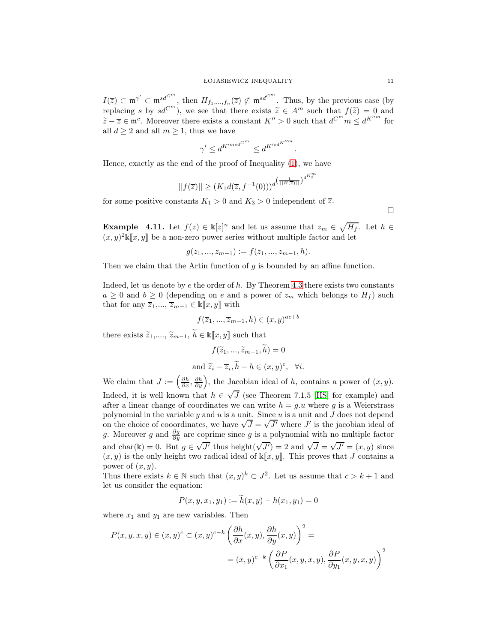$I(\overline{z}) \subset \mathfrak{m}^{\gamma'} \subset \mathfrak{m}^{sd^{C^m}}$ , then  $H_{f_1,\dots,f_n}(\overline{z}) \not\subset \mathfrak{m}^{sd^{C^m}}$ . Thus, by the previous case (by replacing s by  $sd^{C^m}$ ), we see that there exists  $\widetilde{z} \in A^m$  such that  $f(\widetilde{z}) = 0$  and  $\widetilde{z} - \overline{z} \in \mathfrak{m}^c$ . Moreover there exists a constant  $K'' > 0$  such that  $d^{C^m} m \leq d^{K''^m}$  for all  $d \geq 2$  and all  $m \geq 1$ , thus we have

$$
\gamma' \leq d^{K'^{msd^{C^m}}} \leq d^{K'^{sd^{K''m}}}
$$

.

Hence, exactly as the end of the proof of Inequality [\(1\)](#page-6-1), we have

$$
||f(\overline{z})|| \ge (K_1 d(\overline{z}, f^{-1}(0)))^{d^{\left(\frac{1}{||H(\overline{z})||}\right)^{d^{K_3^m}}}}
$$

for some positive constants  $K_1 > 0$  and  $K_3 > 0$  independent of  $\overline{z}$ .

 $\Box$ 

**Example** 4.11. Let  $f(z) \in \mathbb{k}[z]^n$  and let us assume that  $z_m \in \sqrt{H_f}$ . Let  $h \in$  $(x, y)^2 \& \llbracket x, y \rrbracket$  be a non-zero power series without multiple factor and let

$$
g(z_1, ..., z_{m-1}) := f(z_1, ..., z_{m-1}, h).
$$

Then we claim that the Artin function of  $g$  is bounded by an affine function.

Indeed, let us denote by  $e$  the order of  $h$ . By Theorem [4.3](#page-6-0) there exists two constants  $a \geq 0$  and  $b \geq 0$  (depending on e and a power of  $z_m$  which belongs to  $H_f$ ) such that for any  $\overline{z}_1, ..., \overline{z}_{m-1} \in \mathbb{k}[\![x, y]\!]$  with

$$
f(\overline{z}_1, ..., \overline{z}_{m-1}, h) \in (x, y)^{ac+b}
$$

there exists  $\widetilde{z}_1, ..., \, \widetilde{z}_{m-1}, \, \widetilde{h} \in \Bbbk[\![x,y]\!]$  such that

$$
f(\widetilde{z}_1, ..., \widetilde{z}_{m-1}, \widetilde{h}) = 0
$$
  
and  $\widetilde{z}_i - \overline{z}_i, \widetilde{h} - h \in (x, y)^c, \forall i.$ 

We claim that  $J := \left(\frac{\partial h}{\partial x}, \frac{\partial h}{\partial y}\right)$ , the Jacobian ideal of h, contains a power of  $(x, y)$ . Indeed, it is well known that  $h \in \sqrt{J}$  (see Theorem 7.1.5 [\[HS\]](#page-11-11) for example) and after a linear change of coordinates we can write  $h = q.u$  where g is a Weierstrass polynomial in the variable  $y$  and  $u$  is a unit. Since  $u$  is a unit and  $J$  does not depend on the choice of cooordinates, we have  $\sqrt{J} = \sqrt{J'}$  where J' is the jacobian ideal of g. Moreover g and  $\frac{\partial g}{\partial y}$  are coprime since g is a polynomial with no multiple factor and char(k) = 0. But  $g \in \sqrt{J'}$  thus height( $\sqrt{J'}$ ) = 2 and  $\sqrt{J} = \sqrt{J'} = (x, y)$  since  $(x, y)$  is the only height two radical ideal of  $\mathbb{K}[x, y]$ . This proves that J contains a power of  $(x, y)$ .

Thus there exists  $k \in \mathbb{N}$  such that  $(x, y)^k \subset J^2$ . Let us assume that  $c > k + 1$  and let us consider the equation:

$$
P(x, y, x_1, y_1) := h(x, y) - h(x_1, y_1) = 0
$$

where  $x_1$  and  $y_1$  are new variables. Then

$$
P(x, y, x, y) \in (x, y)^c \subset (x, y)^{c-k} \left( \frac{\partial h}{\partial x}(x, y), \frac{\partial h}{\partial y}(x, y) \right)^2 =
$$
  
=  $(x, y)^{c-k} \left( \frac{\partial P}{\partial x_1}(x, y, x, y), \frac{\partial P}{\partial y_1}(x, y, x, y) \right)^2$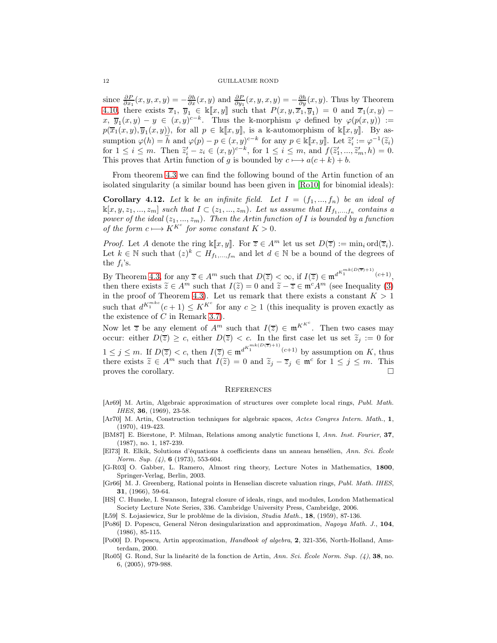since  $\frac{\partial P}{\partial x_1}(x, y, x, y) = -\frac{\partial h}{\partial x}(x, y)$  and  $\frac{\partial P}{\partial y_1}(x, y, x, y) = -\frac{\partial h}{\partial y}(x, y)$ . Thus by Theorem [4.10,](#page-9-1) there exists  $\overline{x}_1, \overline{y}_1 \in \mathbb{k}[\![x, y]\!]$  such that  $P(x, y, \overline{x}_1, \overline{y}_1) = 0$  and  $\overline{x}_1(x, y)$   $x, \overline{y}_1(x,y) - y \in (x,y)^{c-k}$ . Thus the k-morphism  $\varphi$  defined by  $\varphi(p(x,y)) :=$  $p(\overline{x}_1(x,y), \overline{y}_1(x,y))$ , for all  $p \in \mathbb{k}[\![x,y]\!]$ , is a k-automorphism of  $\mathbb{k}[\![x,y]\!]$ . By assumption  $\varphi(h) = \tilde{h}$  and  $\varphi(p) - p \in (x, y)^{c-k}$  for any  $p \in \mathbb{R}[x, y]$ . Let  $\tilde{z}'_i := \varphi^{-1}(\tilde{z}_i)$ for  $1 \le i \le m$ . Then  $\tilde{z}'_i - z_i \in (x, y)^{c-k}$ , for  $1 \le i \le m$ , and  $f(\tilde{z}'_1, ..., \tilde{z}'_m, h) = 0$ . This proves that Artin function of g is bounded by  $c \mapsto a(c + k) + b$ .

From theorem [4.3](#page-6-0) we can find the following bound of the Artin function of an isolated singularity (a similar bound has been given in [\[Ro10\]](#page-12-2) for binomial ideals):

<span id="page-11-6"></span>Corollary 4.12. Let k be an infinite field. Let  $I = (f_1, ..., f_n)$  be an ideal of  $\mathbb{K}[x, y, z_1, ..., z_m]$  such that  $I \subset (z_1, ..., z_m)$ . Let us assume that  $H_{f_1,...,f_n}$  contains a power of the ideal  $(z_1, ..., z_m)$ . Then the Artin function of I is bounded by a function of the form  $c \longrightarrow K^{K^c}$  for some constant  $K > 0$ .

*Proof.* Let A denote the ring  $\kappa[x, y]$ . For  $\overline{z} \in A^m$  let us set  $D(\overline{z}) := \min_i \text{ord}(\overline{z}_i)$ . Let  $k \in \mathbb{N}$  such that  $(z)^k \subset H_{f_1,\dots,f_m}$  and let  $d \in \mathbb{N}$  be a bound of the degrees of the  $f_i$ 's.

By Theorem [4.3,](#page-6-0) for any  $\overline{z} \in A^m$  such that  $D(\overline{z}) < \infty$ , if  $I(\overline{z}) \in \mathfrak{m}^{d^{K_1^{mk(D(\overline{z})+1)}}(c+1)}$ then there exists  $\widetilde{z} \in A^m$  such that  $I(\widetilde{z}) = 0$  and  $\widetilde{z} - \overline{z} \in \mathfrak{m}^c A^m$  (see Inequality [\(3\)](#page-9-0) in the proof of Theorem [4.3\)](#page-6-0). Let us remark that there exists a constant  $K > 1$ such that  $d^{K_1^{mkc}}(c+1) \leq K^{K^c}$  for any  $c \geq 1$  (this inequality is proven exactly as the existence of C in Remark [3.7\)](#page-5-1).

Now let  $\overline{z}$  be any element of  $A^m$  such that  $I(\overline{z}) \in \mathfrak{m}^{K^{K^c}}$ . Then two cases may occur: either  $D(\overline{z}) \geq c$ , either  $D(\overline{z}) < c$ . In the first case let us set  $\widetilde{z}_j := 0$  for  $1 \leq j \leq m$ . If  $D(\overline{z}) < c$ , then  $I(\overline{z}) \in \mathfrak{m}^{d^{K_1^{mk}(D(\overline{z})+1)}}(c+1)$  by assumption on K, thus there exists  $\tilde{z} \in A^m$  such that  $\overline{I}(\tilde{z}) = 0$  and  $\tilde{z}_j - \overline{z}_j \in \mathfrak{m}^c$  for  $1 \leq j \leq m$ . This proves the corollary.  $\Box$ 

### **REFERENCES**

- <span id="page-11-2"></span>[Ar69] M. Artin, Algebraic approximation of structures over complete local rings, Publ. Math. IHES, 36, (1969), 23-58.
- <span id="page-11-4"></span>[Ar70] M. Artin, Construction techniques for algebraic spaces, Actes Congres Intern. Math., 1, (1970), 419-423.
- <span id="page-11-10"></span>[BM87] E. Bierstone, P. Milman, Relations among analytic functions I, Ann. Inst. Fourier, 37, (1987), no. 1, 187-239.
- <span id="page-11-7"></span>[El73] R. Elkik, Solutions d'équations à coefficients dans un anneau hensélien, Ann. Sci. École Norm. Sup. (4), 6 (1973), 553-604.
- <span id="page-11-9"></span>[G-R03] O. Gabber, L. Ramero, Almost ring theory, Lecture Notes in Mathematics, 1800, Springer-Verlag, Berlin, 2003.
- <span id="page-11-0"></span>[Gr66] M. J. Greenberg, Rational points in Henselian discrete valuation rings, Publ. Math. IHES, 31, (1966), 59-64.
- <span id="page-11-11"></span>[HS] C. Huneke, I. Swanson, Integral closure of ideals, rings, and modules, London Mathematical Society Lecture Note Series, 336. Cambridge University Press, Cambridge, 2006.

<span id="page-11-1"></span>[Ł59] S. Łojasiewicz, Sur le problème de la division, Studia Math., 18, (1959), 87-136.

- <span id="page-11-3"></span>[Po86] D. Popescu, General Néron desingularization and approximation, Nagoya Math. J., 104, (1986), 85-115.
- <span id="page-11-8"></span>[Po00] D. Popescu, Artin approximation, Handbook of algebra, 2, 321-356, North-Holland, Amsterdam, 2000.
- <span id="page-11-5"></span>[Ro05] G. Rond, Sur la linéarité de la fonction de Artin, Ann. Sci. École Norm. Sup. (4), 38, no. 6, (2005), 979-988.